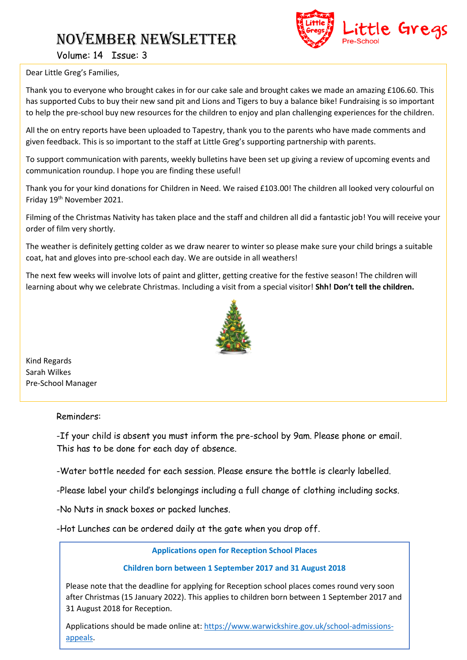## November NEWSLETTER



Volume: 14 Issue: 3

Dear Little Greg's Families,

Thank you to everyone who brought cakes in for our cake sale and brought cakes we made an amazing £106.60. This has supported Cubs to buy their new sand pit and Lions and Tigers to buy a balance bike! Fundraising is so important to help the pre-school buy new resources for the children to enjoy and plan challenging experiences for the children.

All the on entry reports have been uploaded to Tapestry, thank you to the parents who have made comments and given feedback. This is so important to the staff at Little Greg's supporting partnership with parents.

To support communication with parents, weekly bulletins have been set up giving a review of upcoming events and communication roundup. I hope you are finding these useful!

Thank you for your kind donations for Children in Need. We raised £103.00! The children all looked very colourful on Friday 19<sup>th</sup> November 2021.

Filming of the Christmas Nativity has taken place and the staff and children all did a fantastic job! You will receive your order of film very shortly.

The weather is definitely getting colder as we draw nearer to winter so please make sure your child brings a suitable coat, hat and gloves into pre-school each day. We are outside in all weathers!

The next few weeks will involve lots of paint and glitter, getting creative for the festive season! The children will learning about why we celebrate Christmas. Including a visit from a special visitor! **Shh! Don't tell the children.**



Kind Regards Sarah Wilkes Pre-School Manager

Reminders:

-If your child is absent you must inform the pre-school by 9am. Please phone or email. This has to be done for each day of absence.

-Water bottle needed for each session. Please ensure the bottle is clearly labelled.

-Please label your child's belongings including a full change of clothing including socks.

-No Nuts in snack boxes or packed lunches.

-Hot Lunches can be ordered daily at the gate when you drop off.

**Applications open for Reception School Places**

#### **Children born between 1 September 2017 and 31 August 2018**

Please note that the deadline for applying for Reception school places comes round very soon after Christmas (15 January 2022). This applies to children born between 1 September 2017 and 31 August 2018 for Reception.

Applications should be made online at: [https://www.warwickshire.gov.uk/school-admissions](https://www.warwickshire.gov.uk/school-admissions-appeals)[appeals.](https://www.warwickshire.gov.uk/school-admissions-appeals)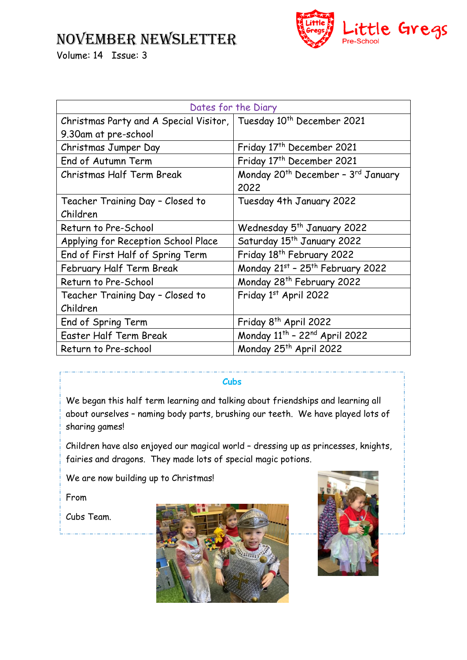### NOVEMBER NEWSLETTER



Volume: 14 Issue: 3

| Dates for the Diary                                                           |                                                            |
|-------------------------------------------------------------------------------|------------------------------------------------------------|
| Christmas Party and A Special Visitor, Tuesday 10 <sup>th</sup> December 2021 |                                                            |
| 9.30am at pre-school                                                          |                                                            |
| Christmas Jumper Day                                                          | Friday 17 <sup>th</sup> December 2021                      |
| End of Autumn Term                                                            | Friday 17 <sup>th</sup> December 2021                      |
| Christmas Half Term Break                                                     | Monday 20 <sup>th</sup> December - 3 <sup>rd</sup> January |
|                                                                               | 2022                                                       |
| Teacher Training Day - Closed to                                              | Tuesday 4th January 2022                                   |
| Children                                                                      |                                                            |
| Return to Pre-School                                                          | Wednesday 5 <sup>th</sup> January 2022                     |
| Applying for Reception School Place                                           | Saturday 15 <sup>th</sup> January 2022                     |
| End of First Half of Spring Term                                              | Friday 18 <sup>th</sup> February 2022                      |
| February Half Term Break                                                      | Monday 21st - 25th February 2022                           |
| Return to Pre-School                                                          | Monday 28 <sup>th</sup> February 2022                      |
| Teacher Training Day - Closed to                                              | Friday 1st April 2022                                      |
| Children                                                                      |                                                            |
| End of Spring Term                                                            | Friday 8 <sup>th</sup> April 2022                          |
| <b>Easter Half Term Break</b>                                                 | Monday 11th - 22nd April 2022                              |
| Return to Pre-school                                                          | Monday 25 <sup>th</sup> April 2022                         |

#### **Cubs**

We began this half term learning and talking about friendships and learning all about ourselves – naming body parts, brushing our teeth. We have played lots of sharing games!

Children have also enjoyed our magical world – dressing up as princesses, knights, fairies and dragons. They made lots of special magic potions.

We are now building up to Christmas!

From

Cubs Team.